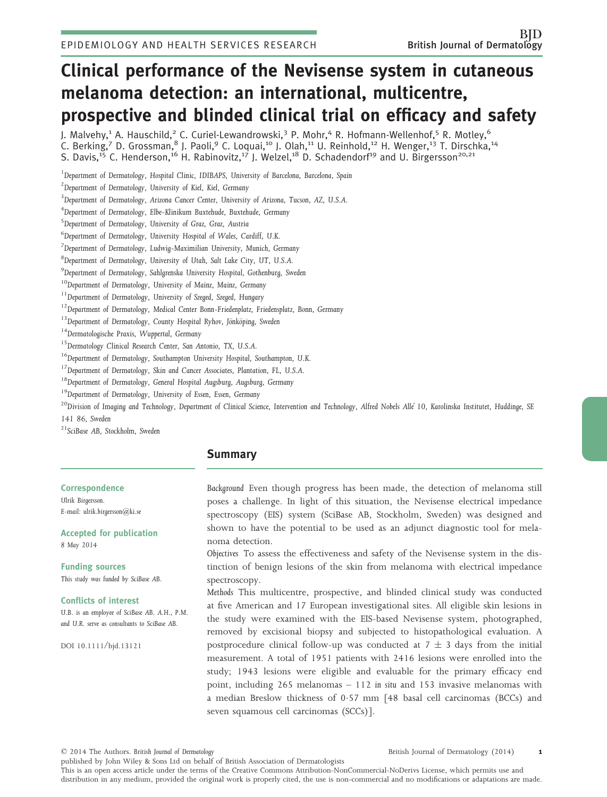# Clinical performance of the Nevisense system in cutaneous melanoma detection: an international, multicentre, prospective and blinded clinical trial on efficacy and safety

J. Malvehy, $^1$  A. Hauschild, $^2$  C. Curiel-Lewandrowski, $^3$  P. Mohr, $^4$  R. Hofmann-Wellenhof, $^5$  R. Motley, $^6$ C. Berking,<sup>7</sup> D. Grossman,<sup>8</sup> J. Paoli,<sup>9</sup> C. Loquai,<sup>10</sup> J. Olah,<sup>11</sup> U. Reinhold,<sup>12</sup> H. Wenger,<sup>13</sup> T. Dirschka,<sup>14</sup> S. Davis,<sup>15</sup> C. Henderson,<sup>16</sup> H. Rabinovitz,<sup>17</sup> J. Welzel,<sup>18</sup> D. Schadendorf<sup>19</sup> and U. Birgersson<sup>20,21</sup>

*1 Department of Dermatology, Hospital Clinic, IDIBAPS, University of Barcelona, Barcelona, Spain*

*2 Department of Dermatology, University of Kiel, Kiel, Germany*

*3 Department of Dermatology, Arizona Cancer Center, University of Arizona, Tucson, AZ, U.S.A.*

*4 Department of Dermatology, Elbe-Klinikum Buxtehude, Buxtehude, Germany*

*5 Department of Dermatology, University of Graz, Graz, Austria*

*6 Department of Dermatology, University Hospital of Wales, Cardiff, U.K.*

*7 Department of Dermatology, Ludwig-Maximilian University, Munich, Germany*

*8 Department of Dermatology, University of Utah, Salt Lake City, UT, U.S.A.*

*9 Department of Dermatology, Sahlgrenska University Hospital, Gothenburg, Sweden*

*<sup>10</sup>Department of Dermatology, University of Mainz, Mainz, Germany*

*<sup>11</sup>Department of Dermatology, University of Szeged, Szeged, Hungary*

*<sup>12</sup>Department of Dermatology, Medical Center Bonn-Friedenplatz, Friedensplatz, Bonn, Germany*

<sup>13</sup> Department of Dermatology, County Hospital Ryhov, Jönköping, Sweden

*<sup>14</sup>Dermatologische Praxis, Wuppertal, Germany*

*<sup>15</sup>Dermatology Clinical Research Center, San Antonio, TX, U.S.A.*

*<sup>16</sup>Department of Dermatology, Southampton University Hospital, Southampton, U.K.*

*<sup>17</sup>Department of Dermatology, Skin and Cancer Associates, Plantation, FL, U.S.A.*

*<sup>18</sup>Department of Dermatology, General Hospital Augsburg, Augsburg, Germany*

*<sup>19</sup>Department of Dermatology, University of Essen, Essen, Germany*

*<sup>20</sup>Division of Imaging and Technology, Department of Clinical Science, Intervention and Technology, Alfred Nobels Alle 10, Karolinska Institutet, Huddinge, SE 141 86, Sweden*

*<sup>21</sup>SciBase AB, Stockholm, Sweden*

# Summary

#### **Correspondence**

*Ulrik Birgersson. E-mail: ulrik.birgersson@ki.se*

Accepted for publication *8 May 2014*

Funding sources *This study was funded by SciBase AB.*

#### Conflicts of interest

*U.B. is an employee of SciBase AB. A.H., P.M. and U.R. serve as consultants to SciBase AB.*

DOI 10.1111/bjd.13121

*Background* Even though progress has been made, the detection of melanoma still poses a challenge. In light of this situation, the Nevisense electrical impedance spectroscopy (EIS) system (SciBase AB, Stockholm, Sweden) was designed and shown to have the potential to be used as an adjunct diagnostic tool for melanoma detection.

*Objectives* To assess the effectiveness and safety of the Nevisense system in the distinction of benign lesions of the skin from melanoma with electrical impedance spectroscopy.

*Methods* This multicentre, prospective, and blinded clinical study was conducted at five American and 17 European investigational sites. All eligible skin lesions in the study were examined with the EIS-based Nevisense system, photographed, removed by excisional biopsy and subjected to histopathological evaluation. A postprocedure clinical follow-up was conducted at  $7 \pm 3$  days from the initial measurement. A total of 1951 patients with 2416 lesions were enrolled into the study; 1943 lesions were eligible and evaluable for the primary efficacy end point, including 265 melanomas – 112 *in situ* and 153 invasive melanomas with a median Breslow thickness of 057 mm [48 basal cell carcinomas (BCCs) and seven squamous cell carcinomas (SCCs)].

© 2014 The Authors. *British Journal of Dermatology*

British Journal of Dermatology (2014) 1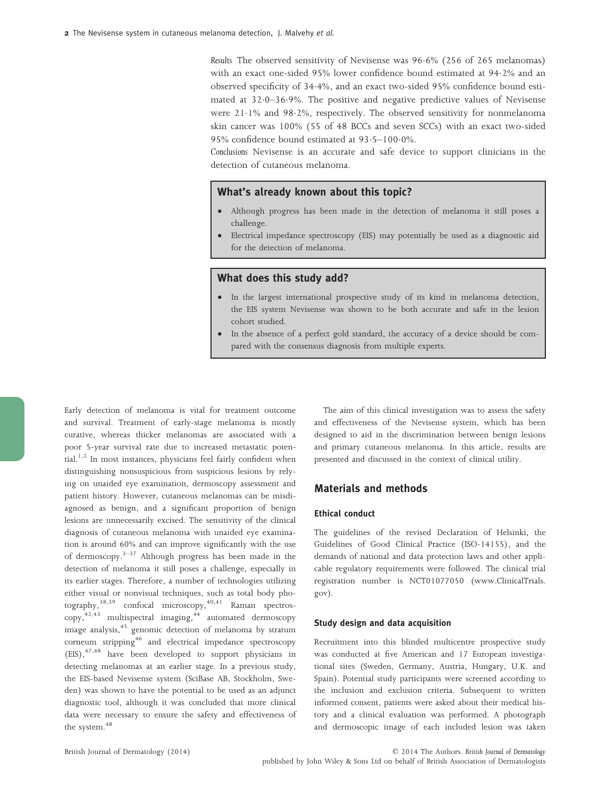*Results* The observed sensitivity of Nevisense was 96.6% (256 of 265 melanomas) with an exact one-sided 95% lower confidence bound estimated at 942% and an observed specificity of 344%, and an exact two-sided 95% confidence bound estimated at 32.0-36.9%. The positive and negative predictive values of Nevisense were 211% and 982%, respectively. The observed sensitivity for nonmelanoma skin cancer was 100% (55 of 48 BCCs and seven SCCs) with an exact two-sided 95% confidence bound estimated at  $93.5-100.0\%$ .

*Conclusions* Nevisense is an accurate and safe device to support clinicians in the detection of cutaneous melanoma.

## What's already known about this topic?

- Although progress has been made in the detection of melanoma it still poses a challenge.
- Electrical impedance spectroscopy (EIS) may potentially be used as a diagnostic aid for the detection of melanoma.

## What does this study add?

- In the largest international prospective study of its kind in melanoma detection, the EIS system Nevisense was shown to be both accurate and safe in the lesion cohort studied.
- In the absence of a perfect gold standard, the accuracy of a device should be compared with the consensus diagnosis from multiple experts.

Early detection of melanoma is vital for treatment outcome and survival. Treatment of early-stage melanoma is mostly curative, whereas thicker melanomas are associated with a poor 5-year survival rate due to increased metastatic poten- $\text{tail}^{1,2}$  In most instances, physicians feel fairly confident when distinguishing nonsuspicious from suspicious lesions by relying on unaided eye examination, dermoscopy assessment and patient history. However, cutaneous melanomas can be misdiagnosed as benign, and a significant proportion of benign lesions are unnecessarily excised. The sensitivity of the clinical diagnosis of cutaneous melanoma with unaided eye examination is around 60% and can improve significantly with the use of dermoscopy.<sup>3–37</sup> Although progress has been made in the detection of melanoma it still poses a challenge, especially in its earlier stages. Therefore, a number of technologies utilizing either visual or nonvisual techniques, such as total body photography,<sup>38,39</sup> confocal microscopy,<sup>40,41</sup> Raman spectroscopy,<sup>42,43</sup> multispectral imaging,<sup>44</sup> automated dermoscopy image analysis,<sup>45</sup> genomic detection of melanoma by stratum corneum stripping<sup>46</sup> and electrical impedance spectroscopy (EIS),47,48 have been developed to support physicians in detecting melanomas at an earlier stage. In a previous study, the EIS-based Nevisense system (SciBase AB, Stockholm, Sweden) was shown to have the potential to be used as an adjunct diagnostic tool, although it was concluded that more clinical data were necessary to ensure the safety and effectiveness of the system.<sup>48</sup>

The aim of this clinical investigation was to assess the safety and effectiveness of the Nevisense system, which has been designed to aid in the discrimination between benign lesions and primary cutaneous melanoma. In this article, results are presented and discussed in the context of clinical utility.

## Materials and methods

## Ethical conduct

The guidelines of the revised Declaration of Helsinki, the Guidelines of Good Clinical Practice (ISO-14155), and the demands of national and data protection laws and other applicable regulatory requirements were followed. The clinical trial registration number is NCT01077050 (www.ClinicalTrials. gov).

#### Study design and data acquisition

Recruitment into this blinded multicentre prospective study was conducted at five American and 17 European investigational sites (Sweden, Germany, Austria, Hungary, U.K. and Spain). Potential study participants were screened according to the inclusion and exclusion criteria. Subsequent to written informed consent, patients were asked about their medical history and a clinical evaluation was performed. A photograph and dermoscopic image of each included lesion was taken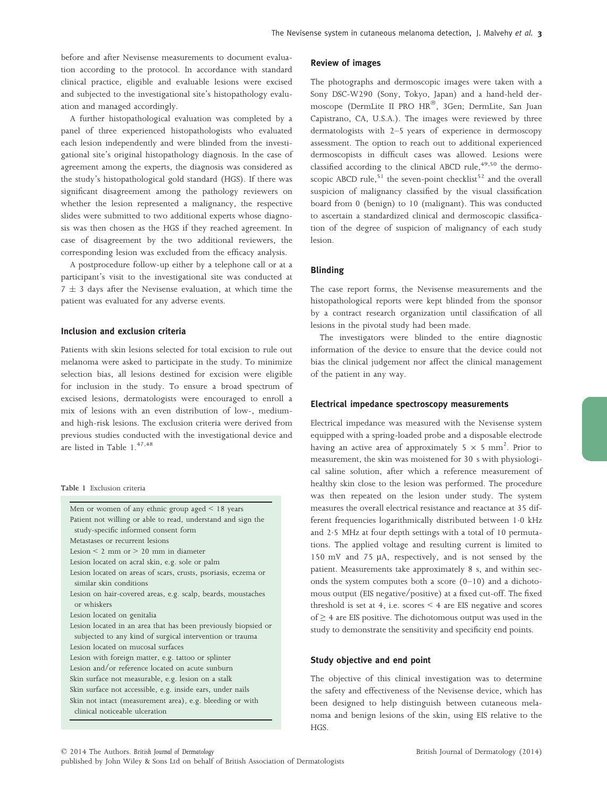before and after Nevisense measurements to document evaluation according to the protocol. In accordance with standard clinical practice, eligible and evaluable lesions were excised and subjected to the investigational site's histopathology evaluation and managed accordingly.

A further histopathological evaluation was completed by a panel of three experienced histopathologists who evaluated each lesion independently and were blinded from the investigational site's original histopathology diagnosis. In the case of agreement among the experts, the diagnosis was considered as the study's histopathological gold standard (HGS). If there was significant disagreement among the pathology reviewers on whether the lesion represented a malignancy, the respective slides were submitted to two additional experts whose diagnosis was then chosen as the HGS if they reached agreement. In case of disagreement by the two additional reviewers, the corresponding lesion was excluded from the efficacy analysis.

A postprocedure follow-up either by a telephone call or at a participant's visit to the investigational site was conducted at  $7 \pm 3$  days after the Nevisense evaluation, at which time the patient was evaluated for any adverse events.

#### Inclusion and exclusion criteria

Patients with skin lesions selected for total excision to rule out melanoma were asked to participate in the study. To minimize selection bias, all lesions destined for excision were eligible for inclusion in the study. To ensure a broad spectrum of excised lesions, dermatologists were encouraged to enroll a mix of lesions with an even distribution of low-, mediumand high-risk lesions. The exclusion criteria were derived from previous studies conducted with the investigational device and are listed in Table 1.<sup>47,48</sup>

#### Table 1 Exclusion criteria

| Men or women of any ethnic group aged $\leq 18$ years          |
|----------------------------------------------------------------|
| Patient not willing or able to read, understand and sign the   |
| study-specific informed consent form                           |
| Metastases or recurrent lesions                                |
| Lesion $\leq$ 2 mm or $>$ 20 mm in diameter                    |
| Lesion located on acral skin, e.g. sole or palm                |
| Lesion located on areas of scars, crusts, psoriasis, eczema or |
| similar skin conditions                                        |
| Lesion on hair-covered areas, e.g. scalp, beards, moustaches   |
| or whiskers                                                    |
| Lesion located on genitalia                                    |
| Lesion located in an area that has been previously biopsied or |
| subjected to any kind of surgical intervention or trauma       |
| Lesion located on mucosal surfaces                             |
| Lesion with foreign matter, e.g. tattoo or splinter            |
| Lesion and/or reference located on acute sunburn               |
| Skin surface not measurable, e.g. lesion on a stalk            |
| Skin surface not accessible, e.g. inside ears, under nails     |
| Skin not intact (measurement area), e.g. bleeding or with      |
| clinical noticeable ulceration                                 |
|                                                                |

#### Review of images

The photographs and dermoscopic images were taken with a Sony DSC-W290 (Sony, Tokyo, Japan) and a hand-held dermoscope (DermLite II PRO HR®, 3Gen; DermLite, San Juan Capistrano, CA, U.S.A.). The images were reviewed by three dermatologists with 2–5 years of experience in dermoscopy assessment. The option to reach out to additional experienced dermoscopists in difficult cases was allowed. Lesions were classified according to the clinical ABCD rule,<sup>49,50</sup> the dermoscopic ABCD rule,<sup>51</sup> the seven-point checklist<sup>52</sup> and the overall suspicion of malignancy classified by the visual classification board from 0 (benign) to 10 (malignant). This was conducted to ascertain a standardized clinical and dermoscopic classification of the degree of suspicion of malignancy of each study lesion.

## Blinding

The case report forms, the Nevisense measurements and the histopathological reports were kept blinded from the sponsor by a contract research organization until classification of all lesions in the pivotal study had been made.

The investigators were blinded to the entire diagnostic information of the device to ensure that the device could not bias the clinical judgement nor affect the clinical management of the patient in any way.

## Electrical impedance spectroscopy measurements

Electrical impedance was measured with the Nevisense system equipped with a spring-loaded probe and a disposable electrode having an active area of approximately 5  $\times$  5 mm<sup>2</sup>. Prior to measurement, the skin was moistened for 30 s with physiological saline solution, after which a reference measurement of healthy skin close to the lesion was performed. The procedure was then repeated on the lesion under study. The system measures the overall electrical resistance and reactance at 35 different frequencies logarithmically distributed between 1.0 kHz and 2.5 MHz at four depth settings with a total of 10 permutations. The applied voltage and resulting current is limited to 150 mV and 75 µA, respectively, and is not sensed by the patient. Measurements take approximately 8 s, and within seconds the system computes both a score  $(0-10)$  and a dichotomous output (EIS negative/positive) at a fixed cut-off. The fixed threshold is set at 4, i.e. scores  $\leq$  4 are EIS negative and scores of ≥ 4 are EIS positive. The dichotomous output was used in the study to demonstrate the sensitivity and specificity end points.

#### Study objective and end point

The objective of this clinical investigation was to determine the safety and effectiveness of the Nevisense device, which has been designed to help distinguish between cutaneous melanoma and benign lesions of the skin, using EIS relative to the HGS.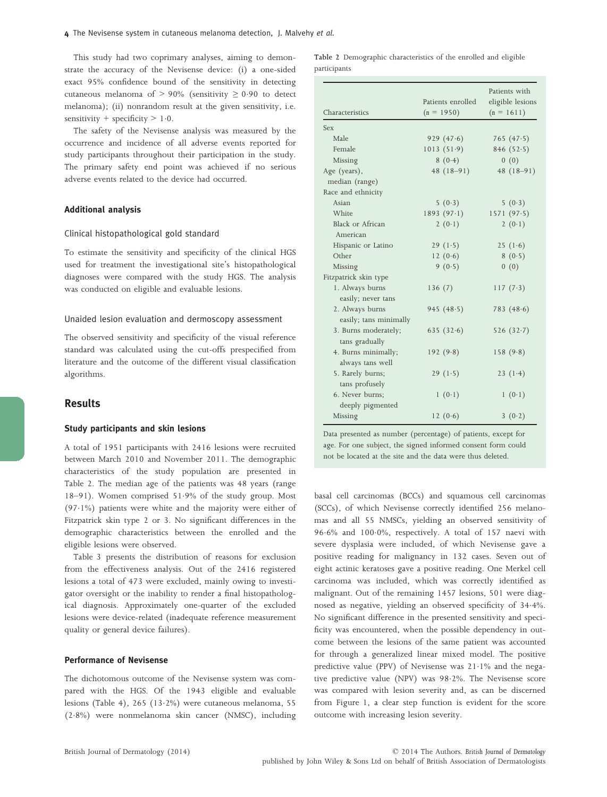This study had two coprimary analyses, aiming to demonstrate the accuracy of the Nevisense device: (i) a one-sided exact 95% confidence bound of the sensitivity in detecting cutaneous melanoma of > 90% (sensitivity  $\geq$  0.90 to detect melanoma); (ii) nonrandom result at the given sensitivity, i.e. sensitivity + specificity  $> 1.0$ .

The safety of the Nevisense analysis was measured by the occurrence and incidence of all adverse events reported for study participants throughout their participation in the study. The primary safety end point was achieved if no serious adverse events related to the device had occurred.

## Additional analysis

#### Clinical histopathological gold standard

To estimate the sensitivity and specificity of the clinical HGS used for treatment the investigational site's histopathological diagnoses were compared with the study HGS. The analysis was conducted on eligible and evaluable lesions.

#### Unaided lesion evaluation and dermoscopy assessment

The observed sensitivity and specificity of the visual reference standard was calculated using the cut-offs prespecified from literature and the outcome of the different visual classification algorithms.

## Results

#### Study participants and skin lesions

A total of 1951 participants with 2416 lesions were recruited between March 2010 and November 2011. The demographic characteristics of the study population are presented in Table 2. The median age of the patients was 48 years (range 18–91). Women comprised 519% of the study group. Most  $(97.1%)$  patients were white and the majority were either of Fitzpatrick skin type 2 or 3. No significant differences in the demographic characteristics between the enrolled and the eligible lesions were observed.

Table 3 presents the distribution of reasons for exclusion from the effectiveness analysis. Out of the 2416 registered lesions a total of 473 were excluded, mainly owing to investigator oversight or the inability to render a final histopathological diagnosis. Approximately one-quarter of the excluded lesions were device-related (inadequate reference measurement quality or general device failures).

#### Performance of Nevisense

The dichotomous outcome of the Nevisense system was compared with the HGS. Of the 1943 eligible and evaluable lesions (Table 4), 265 (13·2%) were cutaneous melanoma, 55 (28%) were nonmelanoma skin cancer (NMSC), including Table 2 Demographic characteristics of the enrolled and eligible participants

|                        | Patients enrolled | Patients with<br>eligible lesions<br>$(n = 1611)$ |  |  |
|------------------------|-------------------|---------------------------------------------------|--|--|
| Characteristics        | $(n = 1950)$      |                                                   |  |  |
| <b>Sex</b>             |                   |                                                   |  |  |
| Male                   | 929(47.6)         | 765 $(47.5)$                                      |  |  |
| Female                 | 1013(51.9)        | 846 $(52.5)$                                      |  |  |
| Missing                | 8(0.4)            | 0(0)                                              |  |  |
| Age (years),           | $48(18-91)$       | $48(18-91)$                                       |  |  |
| median (range)         |                   |                                                   |  |  |
| Race and ethnicity     |                   |                                                   |  |  |
| Asian                  | 5(0.3)            | 5(0.3)                                            |  |  |
| White                  | 1893(97.1)        | 1571(97.5)                                        |  |  |
| Black or African       | 2 $(0.1)$         | 2(0.1)                                            |  |  |
| American               |                   |                                                   |  |  |
| Hispanic or Latino     | 29(1.5)           | 25 $(1.6)$                                        |  |  |
| Other                  | 12 $(0.6)$        | 8(0.5)                                            |  |  |
| Missing                | 9(0.5)            | 0(0)                                              |  |  |
| Fitzpatrick skin type  |                   |                                                   |  |  |
| 1. Always burns        | 136(7)            | 117 $(7.3)$                                       |  |  |
| easily; never tans     |                   |                                                   |  |  |
| 2. Always burns        | 945 $(48.5)$      | 783 $(48.6)$                                      |  |  |
| easily; tans minimally |                   |                                                   |  |  |
| 3. Burns moderately;   | 635 $(32.6)$      | 526 $(32.7)$                                      |  |  |
| tans gradually         |                   |                                                   |  |  |
| 4. Burns minimally;    | 192(9.8)          | 158(9.8)                                          |  |  |
| always tans well       |                   |                                                   |  |  |
| 5. Rarely burns;       | 29 $(1.5)$        | 23 $(1.4)$                                        |  |  |
| tans profusely         |                   |                                                   |  |  |
| 6. Never burns;        | 1(0.1)            | 1(0.1)                                            |  |  |
| deeply pigmented       |                   |                                                   |  |  |
| Missing                | 12 $(0.6)$        | 3(0.2)                                            |  |  |

Data presented as number (percentage) of patients, except for age. For one subject, the signed informed consent form could not be located at the site and the data were thus deleted.

basal cell carcinomas (BCCs) and squamous cell carcinomas (SCCs), of which Nevisense correctly identified 256 melanomas and all 55 NMSCs, yielding an observed sensitivity of 96.6% and 100.0%, respectively. A total of 157 naevi with severe dysplasia were included, of which Nevisense gave a positive reading for malignancy in 132 cases. Seven out of eight actinic keratoses gave a positive reading. One Merkel cell carcinoma was included, which was correctly identified as malignant. Out of the remaining 1457 lesions, 501 were diagnosed as negative, yielding an observed specificity of 344%. No significant difference in the presented sensitivity and specificity was encountered, when the possible dependency in outcome between the lesions of the same patient was accounted for through a generalized linear mixed model. The positive predictive value (PPV) of Nevisense was  $21.1\%$  and the negative predictive value (NPV) was 982%. The Nevisense score was compared with lesion severity and, as can be discerned from Figure 1, a clear step function is evident for the score outcome with increasing lesion severity.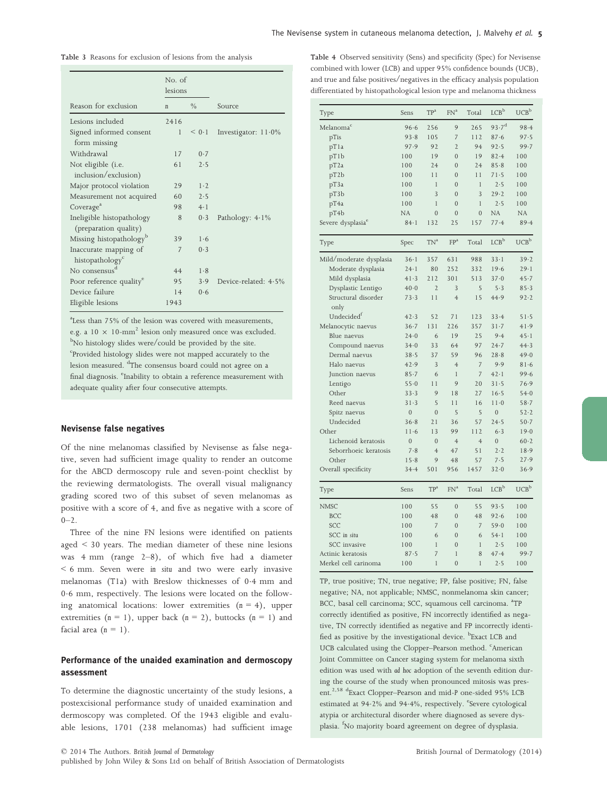| Table 3 Reasons for exclusion of lesions from the analysis |
|------------------------------------------------------------|
|------------------------------------------------------------|

|                                                      | No. of<br>lesions |               |                        |
|------------------------------------------------------|-------------------|---------------|------------------------|
| Reason for exclusion                                 | n                 | $\frac{0}{0}$ | Source                 |
| Lesions included                                     | 2416              |               |                        |
| Signed informed consent<br>form missing              | $\mathbf{1}$      | < 0.1         | Investigator: $11.0\%$ |
| Withdrawal                                           | 17                | 0.7           |                        |
| Not eligible (i.e.<br>inclusion/exclusion)           | 61                | 2.5           |                        |
| Major protocol violation                             | 29                | 1.2           |                        |
| Measurement not acquired                             | 60                | 2.5           |                        |
| Coverage <sup>a</sup>                                | 98                | 4.1           |                        |
| Ineligible histopathology<br>(preparation quality)   | 8                 | 0.3           | Pathology: $4.1\%$     |
| Missing histopathology <sup>b</sup>                  | 39                | 1.6           |                        |
| Inaccurate mapping of<br>histopathology <sup>c</sup> | 7                 | 0.3           |                        |
| No consensus <sup>d</sup>                            | 44                | 1.8           |                        |
| Poor reference quality <sup>e</sup>                  | 95                | 3.9           | Device-related: 4.5%   |
| Device failure                                       | 14                | 0.6           |                        |
| Eligible lesions                                     | 1943              |               |                        |

a Less than 75% of the lesion was covered with measurements, e.g. a  $10 \times 10$ -mm<sup>2</sup> lesion only measured once was excluded. <sup>b</sup>No histology slides were/could be provided by the site. <sup>c</sup>Provided histology slides were not mapped accurately to the lesion measured. <sup>d</sup>The consensus board could not agree on a final diagnosis. <sup>e</sup>Inability to obtain a reference measurement with adequate quality after four consecutive attempts.

#### Nevisense false negatives

Of the nine melanomas classified by Nevisense as false negative, seven had sufficient image quality to render an outcome for the ABCD dermoscopy rule and seven-point checklist by the reviewing dermatologists. The overall visual malignancy grading scored two of this subset of seven melanomas as positive with a score of 4, and five as negative with a score of  $0 - 2$ .

Three of the nine FN lesions were identified on patients aged < 30 years. The median diameter of these nine lesions was 4 mm (range 2–8), of which five had a diameter < 6 mm. Seven were *in situ* and two were early invasive melanomas (T1a) with Breslow thicknesses of 04 mm and 0.6 mm, respectively. The lesions were located on the following anatomical locations: lower extremities (*n* = 4), upper extremities  $(n = 1)$ , upper back  $(n = 2)$ , buttocks  $(n = 1)$  and facial area  $(n = 1)$ .

## Performance of the unaided examination and dermoscopy assessment

To determine the diagnostic uncertainty of the study lesions, a postexcisional performance study of unaided examination and dermoscopy was completed. Of the 1943 eligible and evaluable lesions, 1701 (238 melanomas) had sufficient image

Table 4 Observed sensitivity (Sens) and specificity (Spec) for Nevisense combined with lower (LCB) and upper 95% confidence bounds (UCB), and true and false positives/negatives in the efficacy analysis population differentiated by histopathological lesion type and melanoma thickness

| Type                          | Sens           | $\mathbb{TP}^{\mathrm{a}}$ | FN <sup>a</sup> | Total          | ${\rm LCB}^{\rm b}$ | $UCB^b$                             |
|-------------------------------|----------------|----------------------------|-----------------|----------------|---------------------|-------------------------------------|
| Melanoma <sup>c</sup>         | 96.6           | 256                        | 9               | 265            | $93.7^{d}$          | 98.4                                |
| pTis                          | 93.8           | 105                        | $\overline{7}$  | 112            | $87 - 6$            | 97.5                                |
| pT1a                          | 97.9           | 92                         | $\overline{2}$  | 94             | 92.5                | 99.7                                |
| pT1b                          | 100            | 19                         | $\overline{0}$  | 19             | 82.4                | 100                                 |
| pT2a                          | 100            | 7.4                        | $\Omega$        | 7.4            | $85 - 8$            | 100                                 |
| pT2b                          | 100            | 11                         | $\Omega$        | 11             | 71.5                | 100                                 |
| pT3a                          | 100            | 1                          | $\Omega$        | $\mathbf{1}$   | 2.5                 | 100                                 |
| pT3b                          | 100            | 3                          | $\overline{0}$  | 3              | $29 - 2$            | 100                                 |
| pT4a                          | 100            | $\mathbf{1}$               | $\overline{0}$  | $\mathbf{1}$   | 2.5                 | 100                                 |
| pT4b                          | NA             | $\overline{0}$             | $\overline{0}$  | $\overline{0}$ | NA                  | <b>NA</b>                           |
| Severe dysplasia <sup>e</sup> | $84 - 1$       | 132                        | 25              | 157            | 77.4                | 89.4                                |
| Type                          | Spec           | TN <sup>a</sup>            | FP <sup>a</sup> | Total          | LCB <sup>b</sup>    | $\ensuremath{\mathsf{UCB}}^{\rm b}$ |
| Mild/moderate dysplasia       | $36 - 1$       | 357                        | 631             | 988            | $33 - 1$            | 39.2                                |
| Moderate dysplasia            | $24 - 1$       | 80                         | 252             | 332            | 19.6                | $29 - 1$                            |
| Mild dysplasia                | 41.3           | 212                        | 301             | 513            | $37 - 0$            | 45.7                                |
| Dysplastic Lentigo            | 40.0           | $\overline{2}$             | 3               | 5              | $5-3$               | $85 - 3$                            |
| Structural disorder<br>only   | 73.3           | 11                         | $\overline{4}$  | 1.5            | 44.9                | 92.2                                |
| Undecided <sup>f</sup>        | 42.3           | 52                         | 71              | 123            | 33.4                | 51.5                                |
| Melanocytic naevus            | $36 - 7$       | 131                        | 226             | 357            | $31 - 7$            | 41.9                                |
| Blue naevus                   | $24 - 0$       | 6                          | 19              | 25             | 9.4                 | $45 - 1$                            |
| Compound naevus               | 34.0           | 33                         | 64              | 97             | 24.7                | 44.3                                |
| Dermal naevus                 | 38.5           | 37                         | 59              | 96             | $28 - 8$            | 49.0                                |
| Halo naevus                   | 42.9           | 3                          | $\overline{4}$  | $\overline{7}$ | 9.9                 | 81.6                                |
| Junction naevus               | $85 - 7$       | 6                          | $\mathbf{1}$    | $\overline{7}$ | 42.1                | 99.6                                |
| Lentigo                       | $55-0$         | 11                         | 9               | 20             | $31 - 5$            | 76.9                                |
| Other                         | $33 - 3$       | 9                          | 18              | 27             | $16 - 5$            | 54.0                                |
| Reed naevus                   | $31 - 3$       | 5                          | 11              | 16             | $11-0$              | $58 - 7$                            |
| Spitz naevus                  | $\overline{0}$ | $\overline{0}$             | 5               | 5              | $\overline{0}$      | $52 - 2$                            |
| Undecided                     | $36 - 8$       | 21                         | 36              | 57             | 24.5                | $50 - 7$                            |
| Other                         | 11.6           | 13                         | 99              | 112            | $6 - 3$             | 19.0                                |
| Lichenoid keratosis           | $\overline{0}$ | $\overline{0}$             | $\overline{4}$  | $\overline{4}$ | $\overline{0}$      | $60 - 2$                            |
| Seborrhoeic keratosis         | 7.8            | $\overline{4}$             | 47              | 51             | 2.2                 | 18.9                                |
| Other                         | 15.8           | 9                          | 48              | 57             | 7.5                 | 27.9                                |
| Overall specificity           | 34.4           | 501                        | 956             | 1457           | $32 - 0$            | 36.9                                |
| Type                          | Sens           | TP <sup>a</sup>            | FN <sup>a</sup> | Total          | LCB <sup>b</sup>    | UCB <sup>b</sup>                    |
| <b>NMSC</b>                   | 100            | 55                         | $\overline{0}$  | 55             | 93.5                | 100                                 |
| <b>BCC</b>                    | 100            | 48                         | $\overline{0}$  | 48             | 92.6                | 100                                 |
| SCC                           | 100            | $\overline{7}$             | $\overline{0}$  | 7              | 59.0                | 100                                 |
| SCC in situ                   | 100            | 6                          | $\overline{0}$  | 6              | $54 - 1$            | 100                                 |
| SCC invasive                  | 100            | $\mathbf{1}$               | $\mathbf{0}$    | $\mathbf{1}$   | 2.5                 | 100                                 |
| Actinic keratosis             | 87.5           | $\overline{7}$             | $\mathbf{1}$    | 8              | 47.4                | 99.7                                |
| Merkel cell carinoma          | 100            | $\mathbf{1}$               | $\Omega$        | $\mathbf{1}$   | 2.5                 | 100                                 |

TP, true positive; TN, true negative; FP, false positive; FN, false negative; NA, not applicable; NMSC, nonmelanoma skin cancer; BCC, basal cell carcinoma; SCC, squamous cell carcinoma. <sup>a</sup>TP correctly identified as positive, FN incorrectly identified as negative, TN correctly identified as negative and FP incorrectly identified as positive by the investigational device. <sup>b</sup>Exact LCB and UCB calculated using the Clopper-Pearson method. <sup>c</sup>American Joint Committee on Cancer staging system for melanoma sixth edition was used with *ad hoc* adoption of the seventh edition during the course of the study when pronounced mitosis was present.2,58 dExact Clopper–Pearson and mid-*P* one-sided 95% LCB estimated at 94.2% and 94.4%, respectively. <sup>e</sup>Severe cytological atypia or architectural disorder where diagnosed as severe dysplasia. <sup>f</sup>No majority board agreement on degree of dysplasia.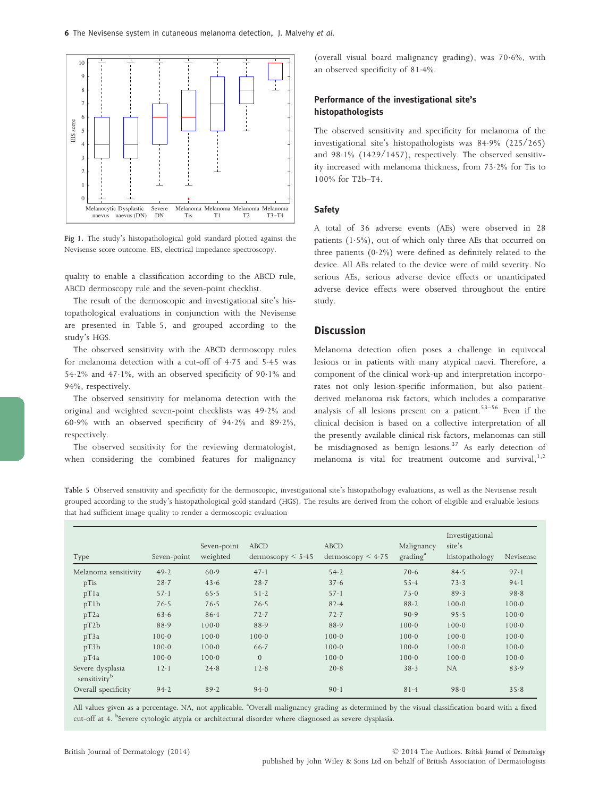

Fig 1. The study's histopathological gold standard plotted against the Nevisense score outcome. EIS, electrical impedance spectroscopy.

quality to enable a classification according to the ABCD rule, ABCD dermoscopy rule and the seven-point checklist.

The result of the dermoscopic and investigational site's histopathological evaluations in conjunction with the Nevisense are presented in Table 5, and grouped according to the study's HGS.

The observed sensitivity with the ABCD dermoscopy rules for melanoma detection with a cut-off of 4.75 and 5.45 was 54 $\cdot$ 2% and 47 $\cdot$ 1%, with an observed specificity of 90 $\cdot$ 1% and 94%, respectively.

The observed sensitivity for melanoma detection with the original and weighted seven-point checklists was 492% and 609% with an observed specificity of 942% and 892%, respectively.

The observed sensitivity for the reviewing dermatologist, when considering the combined features for malignancy (overall visual board malignancy grading), was  $70.6\%$ , with an observed specificity of 814%.

## Performance of the investigational site's histopathologists

The observed sensitivity and specificity for melanoma of the investigational site's histopathologists was 849% (225/265) and  $98.1\%$  (1429/1457), respectively. The observed sensitivity increased with melanoma thickness, from 732% for Tis to 100% for T2b–T4.

## **Safety**

A total of 36 adverse events (AEs) were observed in 28 patients (15%), out of which only three AEs that occurred on three patients  $(0.2\%)$  were defined as definitely related to the device. All AEs related to the device were of mild severity. No serious AEs, serious adverse device effects or unanticipated adverse device effects were observed throughout the entire study.

## **Discussion**

Melanoma detection often poses a challenge in equivocal lesions or in patients with many atypical naevi. Therefore, a component of the clinical work-up and interpretation incorporates not only lesion-specific information, but also patientderived melanoma risk factors, which includes a comparative analysis of all lesions present on a patient. $53-56$  Even if the clinical decision is based on a collective interpretation of all the presently available clinical risk factors, melanomas can still be misdiagnosed as benign lesions.<sup>37</sup> As early detection of melanoma is vital for treatment outcome and survival, $1,2$ 

Table 5 Observed sensitivity and specificity for the dermoscopic, investigational site's histopathology evaluations, as well as the Nevisense result grouped according to the study's histopathological gold standard (HGS). The results are derived from the cohort of eligible and evaluable lesions that had sufficient image quality to render a dermoscopic evaluation

| Type                                         | Seven-point | Seven-point<br>weighted | <b>ABCD</b><br>$d$ ermoscopy $\leq 5.45$ | <b>ABCD</b><br>$d$ ermoscopy $\leq 4.75$ | Malignancy<br>grading <sup>a</sup> | Investigational<br>site's<br>histopathology | Nevisense |
|----------------------------------------------|-------------|-------------------------|------------------------------------------|------------------------------------------|------------------------------------|---------------------------------------------|-----------|
| Melanoma sensitivity                         | 49.2        | 60.9                    | 47.1                                     | 54.2                                     | 70.6                               | 84.5                                        | 97.1      |
| pTis                                         | $28 - 7$    | 43.6                    | $28 - 7$                                 | 37.6                                     | 55.4                               | 73.3                                        | 94.1      |
| pT1a                                         | $57 - 1$    | 65.5                    | $51-2$                                   | $57 - 1$                                 | 75.0                               | 89.3                                        | 98.8      |
| pT1b                                         | 76.5        | 76.5                    | 76.5                                     | 82.4                                     | 88.2                               | $100 - 0$                                   | $100 - 0$ |
| pT2a                                         | 63.6        | 86.4                    | 72.7                                     | 72.7                                     | 90.9                               | 95.5                                        | $100 - 0$ |
| pT2b                                         | 88.9        | $100 - 0$               | 88.9                                     | 88.9                                     | $100 - 0$                          | $100 - 0$                                   | $100 - 0$ |
| pT3a                                         | $100 - 0$   | $100 - 0$               | $100 - 0$                                | $100 - 0$                                | $100 - 0$                          | $100 - 0$                                   | $100 - 0$ |
| pT3b                                         | $100 - 0$   | $100 - 0$               | $66 - 7$                                 | $100 - 0$                                | $100 - 0$                          | $100 - 0$                                   | $100 - 0$ |
| pT4a                                         | $100 - 0$   | $100 - 0$               | $\overline{0}$                           | $100 - 0$                                | $100 - 0$                          | $100 - 0$                                   | $100 - 0$ |
| Severe dysplasia<br>sensitivity <sup>b</sup> | $12-1$      | 24.8                    | 12.8                                     | 20.8                                     | 38.3                               | <b>NA</b>                                   | 83.9      |
| Overall specificity                          | 94.2        | 89.2                    | 94.0                                     | 90.1                                     | 81.4                               | 98.0                                        | 35.8      |

All values given as a percentage. NA, not applicable. <sup>a</sup>Overall malignancy grading as determined by the visual classification board with a fixed cut-off at 4. <sup>b</sup>Severe cytologic atypia or architectural disorder where diagnosed as severe dysplasia.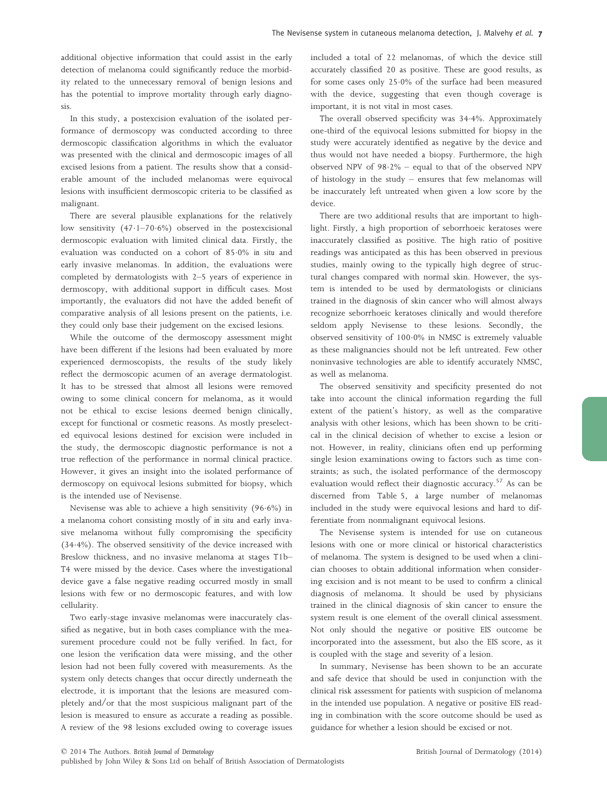additional objective information that could assist in the early detection of melanoma could significantly reduce the morbidity related to the unnecessary removal of benign lesions and has the potential to improve mortality through early diagnosis.

In this study, a postexcision evaluation of the isolated performance of dermoscopy was conducted according to three dermoscopic classification algorithms in which the evaluator was presented with the clinical and dermoscopic images of all excised lesions from a patient. The results show that a considerable amount of the included melanomas were equivocal lesions with insufficient dermoscopic criteria to be classified as malignant.

There are several plausible explanations for the relatively low sensitivity  $(47.1-70.6%)$  observed in the postexcisional dermoscopic evaluation with limited clinical data. Firstly, the evaluation was conducted on a cohort of 850% *in situ* and early invasive melanomas. In addition, the evaluations were completed by dermatologists with 2–5 years of experience in dermoscopy, with additional support in difficult cases. Most importantly, the evaluators did not have the added benefit of comparative analysis of all lesions present on the patients, i.e. they could only base their judgement on the excised lesions.

While the outcome of the dermoscopy assessment might have been different if the lesions had been evaluated by more experienced dermoscopists, the results of the study likely reflect the dermoscopic acumen of an average dermatologist. It has to be stressed that almost all lesions were removed owing to some clinical concern for melanoma, as it would not be ethical to excise lesions deemed benign clinically, except for functional or cosmetic reasons. As mostly preselected equivocal lesions destined for excision were included in the study, the dermoscopic diagnostic performance is not a true reflection of the performance in normal clinical practice. However, it gives an insight into the isolated performance of dermoscopy on equivocal lesions submitted for biopsy, which is the intended use of Nevisense.

Nevisense was able to achieve a high sensitivity (966%) in a melanoma cohort consisting mostly of *in situ* and early invasive melanoma without fully compromising the specificity (344%). The observed sensitivity of the device increased with Breslow thickness, and no invasive melanoma at stages T1b– T4 were missed by the device. Cases where the investigational device gave a false negative reading occurred mostly in small lesions with few or no dermoscopic features, and with low cellularity.

Two early-stage invasive melanomas were inaccurately classified as negative, but in both cases compliance with the measurement procedure could not be fully verified. In fact, for one lesion the verification data were missing, and the other lesion had not been fully covered with measurements. As the system only detects changes that occur directly underneath the electrode, it is important that the lesions are measured completely and/or that the most suspicious malignant part of the lesion is measured to ensure as accurate a reading as possible. A review of the 98 lesions excluded owing to coverage issues included a total of 22 melanomas, of which the device still accurately classified 20 as positive. These are good results, as for some cases only 250% of the surface had been measured with the device, suggesting that even though coverage is important, it is not vital in most cases.

The overall observed specificity was 344%. Approximately one-third of the equivocal lesions submitted for biopsy in the study were accurately identified as negative by the device and thus would not have needed a biopsy. Furthermore, the high observed NPV of  $98.2\%$  – equal to that of the observed NPV of histology in the study – ensures that few melanomas will be inaccurately left untreated when given a low score by the device.

There are two additional results that are important to highlight. Firstly, a high proportion of seborrhoeic keratoses were inaccurately classified as positive. The high ratio of positive readings was anticipated as this has been observed in previous studies, mainly owing to the typically high degree of structural changes compared with normal skin. However, the system is intended to be used by dermatologists or clinicians trained in the diagnosis of skin cancer who will almost always recognize seborrhoeic keratoses clinically and would therefore seldom apply Nevisense to these lesions. Secondly, the observed sensitivity of  $100.0\%$  in NMSC is extremely valuable as these malignancies should not be left untreated. Few other noninvasive technologies are able to identify accurately NMSC, as well as melanoma.

The observed sensitivity and specificity presented do not take into account the clinical information regarding the full extent of the patient's history, as well as the comparative analysis with other lesions, which has been shown to be critical in the clinical decision of whether to excise a lesion or not. However, in reality, clinicians often end up performing single lesion examinations owing to factors such as time constraints; as such, the isolated performance of the dermoscopy evaluation would reflect their diagnostic accuracy.<sup>57</sup> As can be discerned from Table 5, a large number of melanomas included in the study were equivocal lesions and hard to differentiate from nonmalignant equivocal lesions.

The Nevisense system is intended for use on cutaneous lesions with one or more clinical or historical characteristics of melanoma. The system is designed to be used when a clinician chooses to obtain additional information when considering excision and is not meant to be used to confirm a clinical diagnosis of melanoma. It should be used by physicians trained in the clinical diagnosis of skin cancer to ensure the system result is one element of the overall clinical assessment. Not only should the negative or positive EIS outcome be incorporated into the assessment, but also the EIS score, as it is coupled with the stage and severity of a lesion.

In summary, Nevisense has been shown to be an accurate and safe device that should be used in conjunction with the clinical risk assessment for patients with suspicion of melanoma in the intended use population. A negative or positive EIS reading in combination with the score outcome should be used as guidance for whether a lesion should be excised or not.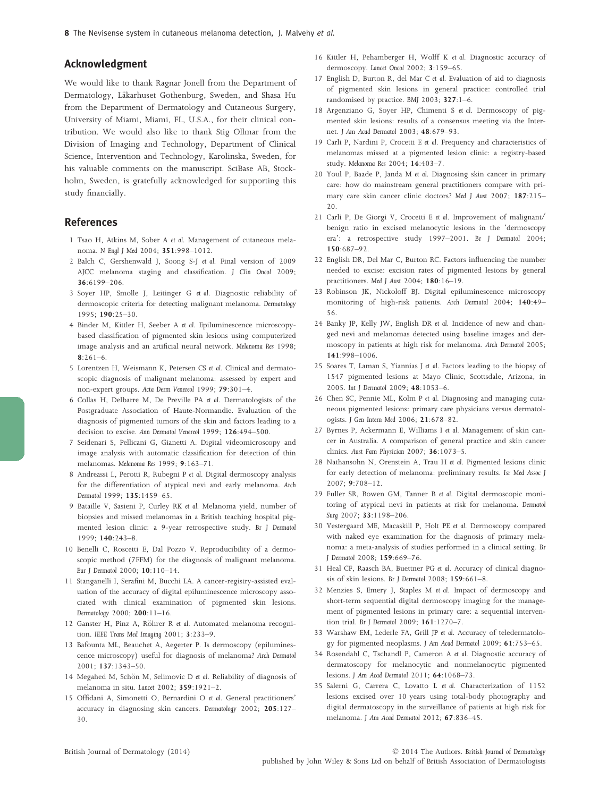## Acknowledgment

We would like to thank Ragnar Jonell from the Department of Dermatology, Läkarhuset Gothenburg, Sweden, and Shasa Hu from the Department of Dermatology and Cutaneous Surgery, University of Miami, Miami, FL, U.S.A., for their clinical contribution. We would also like to thank Stig Ollmar from the Division of Imaging and Technology, Department of Clinical Science, Intervention and Technology, Karolinska, Sweden, for his valuable comments on the manuscript. SciBase AB, Stockholm, Sweden, is gratefully acknowledged for supporting this study financially.

# References

- 1 Tsao H, Atkins M, Sober A *et al.* Management of cutaneous melanoma. *N Engl J Med* 2004; 351:998–1012.
- 2 Balch C, Gershenwald J, Soong S-J *et al.* Final version of 2009 AJCC melanoma staging and classification. *J Clin Oncol* 2009; 36:6199–206.
- 3 Soyer HP, Smolle J, Leitinger G *et al.* Diagnostic reliability of dermoscopic criteria for detecting malignant melanoma. *Dermatology*  $1995: 190:25-30$
- 4 Binder M, Kittler H, Seeber A *et al.* Epiluminescence microscopybased classification of pigmented skin lesions using computerized image analysis and an artificial neural network. *Melanoma Res* 1998;  $8:261-6$ .
- 5 Lorentzen H, Weismann K, Petersen CS *et al.* Clinical and dermatoscopic diagnosis of malignant melanoma: assessed by expert and non-expert groups. *Acta Derm Venereol* 1999; 79:301–4.
- 6 Collas H, Delbarre M, De Preville PA *et al.* Dermatologists of the Postgraduate Association of Haute-Normandie. Evaluation of the diagnosis of pigmented tumors of the skin and factors leading to a decision to excise. *Ann Dermatol Venereol* 1999; 126:494–500.
- 7 Seidenari S, Pellicani G, Gianetti A. Digital videomicroscopy and image analysis with automatic classification for detection of thin melanomas. *Melanoma Res* 1999; 9:163–71.
- 8 Andreassi L, Perotti R, Rubegni P *et al.* Digital dermoscopy analysis for the differentiation of atypical nevi and early melanoma. *Arch Dermatol* 1999; 135:1459–65.
- 9 Bataille V, Sasieni P, Curley RK *et al.* Melanoma yield, number of biopsies and missed melanomas in a British teaching hospital pigmented lesion clinic: a 9-year retrospective study. *Br J Dermatol* 1999; 140:243–8.
- 10 Benelli C, Roscetti E, Dal Pozzo V. Reproducibility of a dermoscopic method (7FFM) for the diagnosis of malignant melanoma. *Eur J Dermatol* 2000; 10:110–14.
- 11 Stanganelli I, Serafini M, Bucchi LA. A cancer-registry-assisted evaluation of the accuracy of digital epiluminescence microscopy associated with clinical examination of pigmented skin lesions. *Dermatology* 2000; 200:11–16.
- 12 Ganster H, Pinz A, Röhrer R et al. Automated melanoma recognition. *IEEE Trans Med Imaging* 2001; 3:233–9.
- 13 Bafounta ML, Beauchet A, Aegerter P. Is dermoscopy (epiluminescence microscopy) useful for diagnosis of melanoma? *Arch Dermatol* 2001; 137:1343–50.
- 14 Megahed M, Schön M, Selimovic D et al. Reliability of diagnosis of melanoma in situ. *Lancet* 2002; 359:1921–2.
- 15 Offidani A, Simonetti O, Bernardini O *et al.* General practitioners' accuracy in diagnosing skin cancers. *Dermatology* 2002; 205:127– 30.
- 16 Kittler H, Pehamberger H, Wolff K *et al.* Diagnostic accuracy of dermoscopy. *Lancet Oncol* 2002; 3:159–65.
- 17 English D, Burton R, del Mar C *et al.* Evaluation of aid to diagnosis of pigmented skin lesions in general practice: controlled trial randomised by practice. *BMJ* 2003; 327:1–6.
- 18 Argenziano G, Soyer HP, Chimenti S *et al.* Dermoscopy of pigmented skin lesions: results of a consensus meeting via the Internet. *J Am Acad Dermatol* 2003; 48:679–93.
- 19 Carli P, Nardini P, Crocetti E *et al.* Frequency and characteristics of melanomas missed at a pigmented lesion clinic: a registry-based study. *Melanoma Res* 2004; 14:403–7.
- 20 Youl P, Baade P, Janda M *et al.* Diagnosing skin cancer in primary care: how do mainstream general practitioners compare with primary care skin cancer clinic doctors? *Med J Aust* 2007; 187:215– 20.
- 21 Carli P, De Giorgi V, Crocetti E *et al.* Improvement of malignant/ benign ratio in excised melanocytic lesions in the 'dermoscopy era': a retrospective study 1997–2001. *Br J Dermatol* 2004; 150:687–92.
- 22 English DR, Del Mar C, Burton RC. Factors influencing the number needed to excise: excision rates of pigmented lesions by general practitioners. *Med J Aust* 2004; 180:16–19.
- 23 Robinson JK, Nickoloff BJ. Digital epiluminescence microscopy monitoring of high-risk patients. *Arch Dermatol* 2004; 140:49– 56.
- 24 Banky JP, Kelly JW, English DR *et al.* Incidence of new and changed nevi and melanomas detected using baseline images and dermoscopy in patients at high risk for melanoma. *Arch Dermatol* 2005; 141:998–1006.
- 25 Soares T, Laman S, Yiannias J *et al.* Factors leading to the biopsy of 1547 pigmented lesions at Mayo Clinic, Scottsdale, Arizona, in 2005. *Int J Dermatol* 2009; 48:1053–6.
- 26 Chen SC, Pennie ML, Kolm P *et al.* Diagnosing and managing cutaneous pigmented lesions: primary care physicians versus dermatologists. *J Gen Intern Med* 2006; 21:678–82.
- 27 Byrnes P, Ackermann E, Williams I *et al.* Management of skin cancer in Australia. A comparison of general practice and skin cancer clinics. *Aust Fam Physician* 2007; 36:1073–5.
- 28 Nathansohn N, Orenstein A, Trau H *et al.* Pigmented lesions clinic for early detection of melanoma: preliminary results. *Isr Med Assoc J* 2007; 9:708–12.
- 29 Fuller SR, Bowen GM, Tanner B *et al.* Digital dermoscopic monitoring of atypical nevi in patients at risk for melanoma. *Dermatol Surg* 2007; 33:1198–206.
- 30 Vestergaard ME, Macaskill P, Holt PE *et al.* Dermoscopy compared with naked eye examination for the diagnosis of primary melanoma: a meta-analysis of studies performed in a clinical setting. *Br J Dermatol* 2008; 159:669–76.
- 31 Heal CF, Raasch BA, Buettner PG *et al.* Accuracy of clinical diagnosis of skin lesions. *Br J Dermatol* 2008; 159:661–8.
- 32 Menzies S, Emery J, Staples M *et al.* Impact of dermoscopy and short-term sequential digital dermoscopy imaging for the management of pigmented lesions in primary care: a sequential intervention trial. *Br J Dermatol* 2009; 161:1270–7.
- 33 Warshaw EM, Lederle FA, Grill JP *et al.* Accuracy of teledermatology for pigmented neoplasms. *J Am Acad Dermatol* 2009; 61:753–65.
- 34 Rosendahl C, Tschandl P, Cameron A *et al.* Diagnostic accuracy of dermatoscopy for melanocytic and nonmelanocytic pigmented lesions. *J Am Acad Dermatol* 2011; 64:1068–73.
- 35 Salerni G, Carrera C, Lovatto L *et al.* Characterization of 1152 lesions excised over 10 years using total-body photography and digital dermatoscopy in the surveillance of patients at high risk for melanoma. *J Am Acad Dermatol* 2012; 67:836–45.